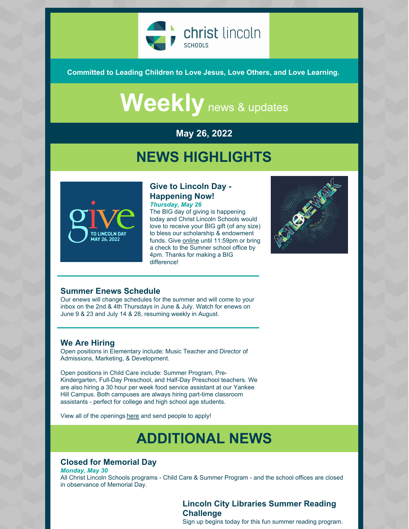

**Committed to Leading Children to Love Jesus, Love Others, and Love Learning.**

# Weekly news & updates

#### **May 26, 2022**

### **NEWS HIGHLIGHTS**



#### **Give to Lincoln Day - Happening Now!** *Thursday, May 26*

The BIG day of giving is happening today and Christ Lincoln Schools would love to receive your BIG gift (of any size) to bless our scholarship & endowment funds. Give [online](https://www.givetolincoln.com/nonprofits/christlincolnschools) until 11:59pm or bring a check to the Sumner school office by 4pm. Thanks for making a BIG difference!



#### **Summer Enews Schedule**

Our enews will change schedules for the summer and will come to your inbox on the 2nd & 4th Thursdays in June & July. Watch for enews on June 9 & 23 and July 14 & 28, resuming weekly in August.

#### **We Are Hiring**

Open positions in Elementary include: Music Teacher and Director of Admissions, Marketing, & Development.

Open positions in Child Care include: Summer Program, Pre-Kindergarten, Full-Day Preschool, and Half-Day Preschool teachers. We are also hiring a 30 hour per week food service assistant at our Yankee Hill Campus. Both campuses are always hiring part-time classroom assistants - perfect for college and high school age students.

View all of the openings [here](https://christlincolnschools.org/workhere/) and send people to apply!

## **ADDITIONAL NEWS**

#### **Closed for Memorial Day**

*Monday, May 30* All Christ Lincoln Schools programs - Child Care & Summer Program - and the school offices are closed in observance of Memorial Day.

#### **Lincoln City Libraries Summer Reading Challenge**

Sign up begins today for this fun summer reading program.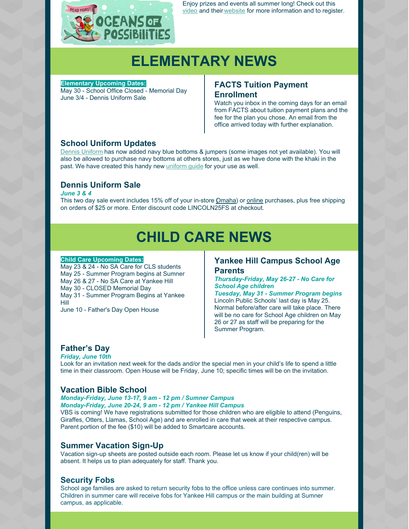

Enjoy prizes and events all summer long! Check out this [video](https://youtu.be/YipzeXZYRRY) and their [website](https://lincolnlibraries.org/summer-reading-challenge/) for more information and to register.

### **ELEMENTARY NEWS**

**Elementary Upcoming Dates:**

May 30 - School Office Closed - Memorial Day June 3/4 - Dennis Uniform Sale

#### **FACTS Tuition Payment Enrollment**

Watch you inbox in the coming days for an email from FACTS about tuition payment plans and the fee for the plan you chose. An email from the office arrived today with further explanation.

#### **School Uniform Updates**

Dennis [Uniform](https://www.dennisuniform.com/collections/pln/grade-K,gender-Girls) has now added navy blue bottoms & jumpers (some images not yet available). You will also be allowed to purchase navy bottoms at others stores, just as we have done with the khaki in the past. We have created this handy new [uniform](https://files.constantcontact.com/bce746ff501/49886ce4-a09d-4576-95b9-084e206d3c29.pdf) guide for your use as well.

#### **Dennis Uniform Sale**

*June 3 & 4*

This two day sale event includes 15% off of your in-store *Q[maha](https://www.dennisuniform.com/pages/omaha)*) or [online](https://www.dennisuniform.com/collections/pln/grade-K,gender-Girls) purchases, plus free shipping on orders of \$25 or more. Enter discount code LINCOLN25FS at checkout.

## **CHILD CARE NEWS**

#### **Child Care Upcoming Dates:**

May 23 & 24 - No SA Care for CLS students May 25 - Summer Program begins at Sumner May 26 & 27 - No SA Care at Yankee Hill May 30 - CLOSED Memorial Day May 31 - Summer Program Begins at Yankee Hill

June 10 - Father's Day Open House

#### **Yankee Hill Campus School Age Parents**

*Thursday-Friday, May 26-27 - No Care for School Age children*

*Tuesday, May 31 - Summer Program begins* Lincoln Public Schools' last day is May 25. Normal before/after care will take place. There will be no care for School Age children on May 26 or 27 as staff will be preparing for the Summer Program.

#### **Father's Day**

*Friday, June 10th* Look for an invitation next week for the dads and/or the special men in your child's life to spend a little time in their classroom. Open House will be Friday, June 10; specific times will be on the invitation.

#### **Vacation Bible School**

*Monday-Friday, June 13-17, 9 am - 12 pm / Sumner Campus Monday-Friday, June 20-24, 9 am - 12 pm / Yankee Hill Campus*

VBS is coming! We have registrations submitted for those children who are eligible to attend (Penguins, Giraffes, Otters, Llamas, School Age) and are enrolled in care that week at their respective campus. Parent portion of the fee (\$10) will be added to Smartcare accounts.

#### **Summer Vacation Sign-Up**

Vacation sign-up sheets are posted outside each room. Please let us know if your child(ren) will be absent. It helps us to plan adequately for staff. Thank you.

#### **Security Fobs**

School age families are asked to return security fobs to the office unless care continues into summer. Children in summer care will receive fobs for Yankee Hill campus or the main building at Sumner campus, as applicable.